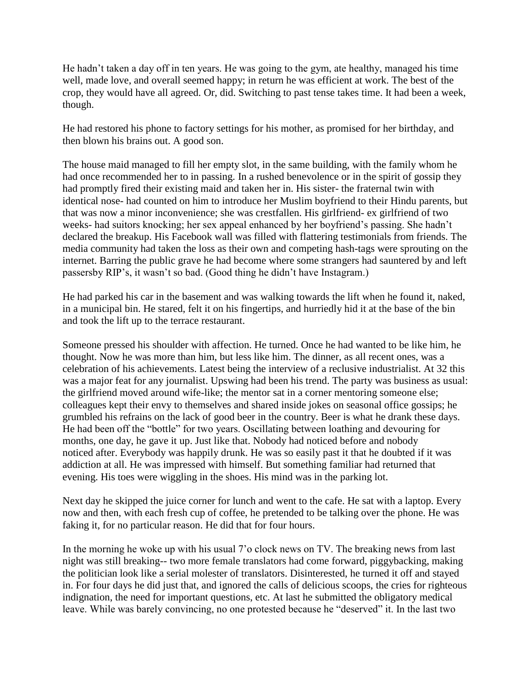He hadn't taken a day off in ten years. He was going to the gym, ate healthy, managed his time well, made love, and overall seemed happy; in return he was efficient at work. The best of the crop, they would have all agreed. Or, did. Switching to past tense takes time. It had been a week, though.

He had restored his phone to factory settings for his mother, as promised for her birthday, and then blown his brains out. A good son.

The house maid managed to fill her empty slot, in the same building, with the family whom he had once recommended her to in passing. In a rushed benevolence or in the spirit of gossip they had promptly fired their existing maid and taken her in. His sister- the fraternal twin with identical nose- had counted on him to introduce her Muslim boyfriend to their Hindu parents, but that was now a minor inconvenience; she was crestfallen. His girlfriend- ex girlfriend of two weeks- had suitors knocking; her sex appeal enhanced by her boyfriend's passing. She hadn't declared the breakup. His Facebook wall was filled with flattering testimonials from friends. The media community had taken the loss as their own and competing hash-tags were sprouting on the internet. Barring the public grave he had become where some strangers had sauntered by and left passersby RIP's, it wasn't so bad. (Good thing he didn't have Instagram.)

He had parked his car in the basement and was walking towards the lift when he found it, naked, in a municipal bin. He stared, felt it on his fingertips, and hurriedly hid it at the base of the bin and took the lift up to the terrace restaurant.

Someone pressed his shoulder with affection. He turned. Once he had wanted to be like him, he thought. Now he was more than him, but less like him. The dinner, as all recent ones, was a celebration of his achievements. Latest being the interview of a reclusive industrialist. At 32 this was a major feat for any journalist. Upswing had been his trend. The party was business as usual: the girlfriend moved around wife-like; the mentor sat in a corner mentoring someone else; colleagues kept their envy to themselves and shared inside jokes on seasonal office gossips; he grumbled his refrains on the lack of good beer in the country. Beer is what he drank these days. He had been off the "bottle" for two years. Oscillating between loathing and devouring for months, one day, he gave it up. Just like that. Nobody had noticed before and nobody noticed after. Everybody was happily drunk. He was so easily past it that he doubted if it was addiction at all. He was impressed with himself. But something familiar had returned that evening. His toes were wiggling in the shoes. His mind was in the parking lot.

Next day he skipped the juice corner for lunch and went to the cafe. He sat with a laptop. Every now and then, with each fresh cup of coffee, he pretended to be talking over the phone. He was faking it, for no particular reason. He did that for four hours.

In the morning he woke up with his usual 7'o clock news on TV. The breaking news from last night was still breaking-- two more female translators had come forward, piggybacking, making the politician look like a serial molester of translators. Disinterested, he turned it off and stayed in. For four days he did just that, and ignored the calls of delicious scoops, the cries for righteous indignation, the need for important questions, etc. At last he submitted the obligatory medical leave. While was barely convincing, no one protested because he "deserved" it. In the last two